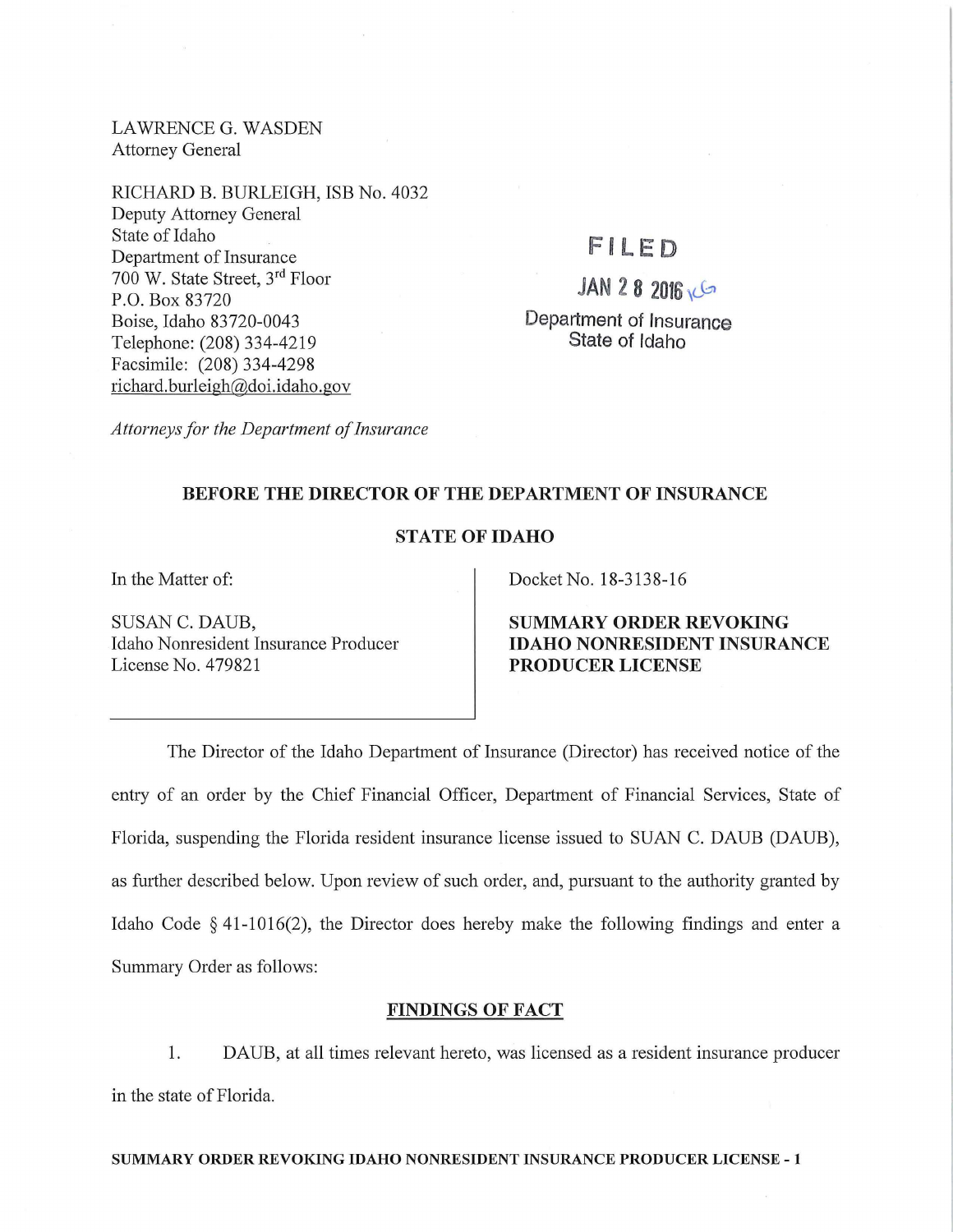LAWRENCE G. WASDEN Attorney General

RICHARD B. BURLEIGH, ISB No. 4032 Deputy Attorney General State of Idaho Department of Insurance 700 W. State Street, 3rd Floor P.O. Box 83720 Boise, Idaho 83720-0043 Telephone: (208) 334-4219 Facsimile: (208) 334-4298 richard.burleigh@doi.idaho.gov

# FILED

 $JAN$  2 8 2016  $C$ Department of Insurance State of Idaho

*Attorneys for the Department of Insurance* 

## BEFORE THE DIRECTOR OF THE DEPARTMENT OF INSURANCE

## STATE OF IDAHO

In the Matter of:

SUSAN C. DAUB, Idaho Nomesident Insurance Producer License No. 479821

Docket No. 18-3138-16

SUMMARY ORDER REVOKING IDAHO NONRESIDENT INSURANCE PRODUCER LICENSE

The Director of the Idaho Department of Insurance (Director) has received notice of the entry of an order by the Chief Financial Officer, Department of Financial Services, State of Florida, suspending the Florida resident insurance license issued to SUAN C. DAUB (DAUB), as further described below. Upon review of such order, and, pursuant to the authority granted by Idaho Code § 41-1016(2), the Director does hereby make the following findings and enter a Summary Order as follows:

## FINDINGS OF FACT

1. DAUB, at all times relevant hereto, was licensed as a resident insurance producer in the state of Florida.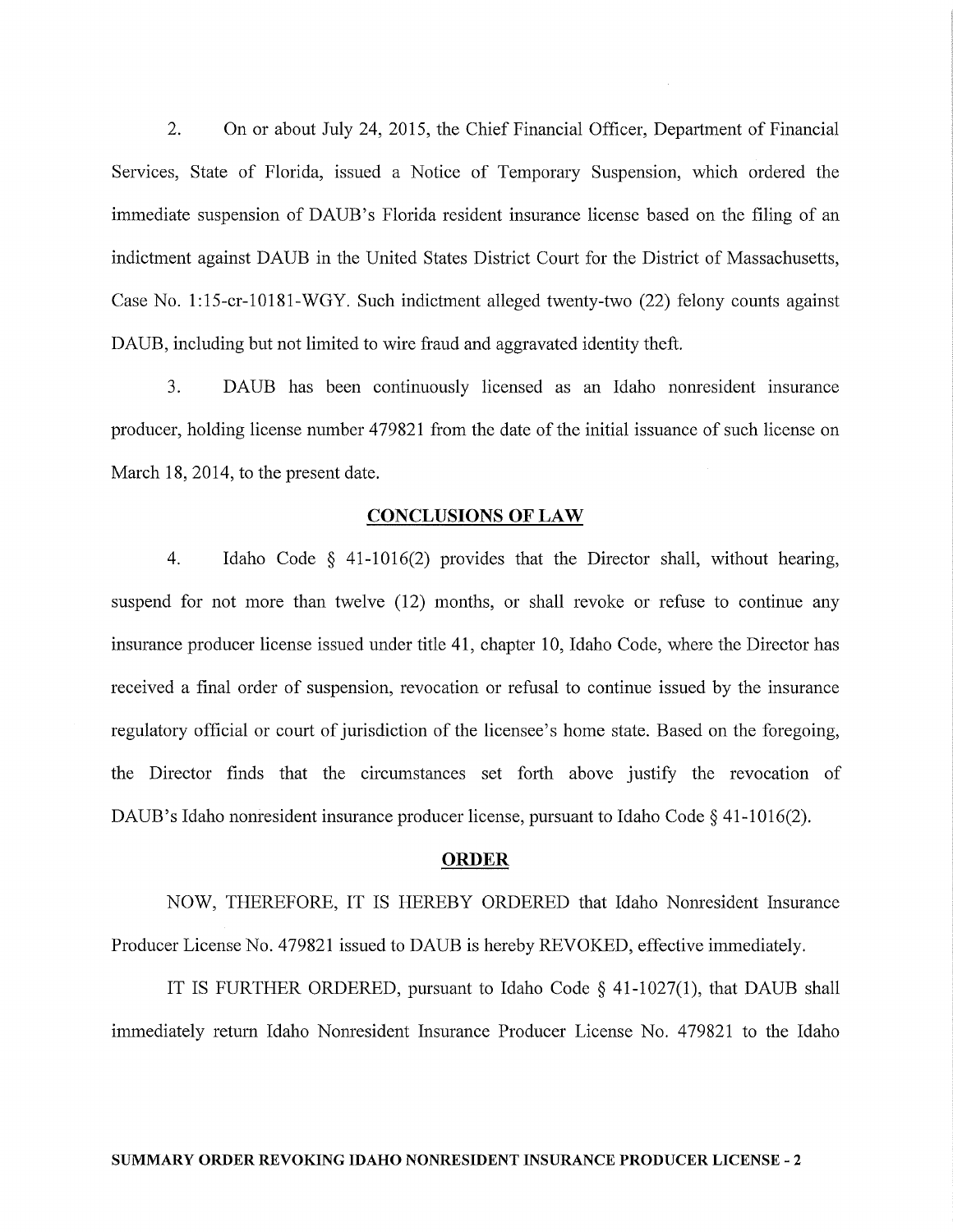2. On or about July 24, 2015, the Chief Financial Officer, Department of Financial Services, State of Florida, issued a Notice of Temporary Suspension, which ordered the immediate suspension of DAUB's Florida resident insurance license based on the filing of an indictment against DAUB in the United States District Court for the District of Massachusetts, Case No. 1:15-cr-10181-WGY. Such indictment alleged twenty-two (22) felony counts against DAUB, including but not limited to wire fraud and aggravated identity theft.

3. DAUB has been continuously licensed as an Idaho nonresident msurance producer, holding license number 479821 from the date of the initial issuance of such license on March 18, 2014, to the present date.

#### CONCLUSIONS OF LAW

4. Idaho Code § 41-1016(2) provides that the Director shall, without hearing, suspend for not more than twelve (12) months, or shall revoke or refuse to continue any insurance producer license issued under title 41, chapter 10, Idaho Code, where the Director has received a final order of suspension, revocation or refusal to continue issued by the insurance regulatory official or court of jurisdiction of the licensee's home state. Based on the foregoing, the Director finds that the circumstances set forth above justify the revocation of DAUB's Idaho nonresident insurance producer license, pursuant to Idaho Code § 41-1016(2).

#### **ORDER**

NOW, THEREFORE, IT IS HEREBY ORDERED that Idaho Nonresident Insurance Producer License No. 479821 issued to DAUB is hereby REVOKED, effective immediately.

IT IS FURTHER ORDERED, pursuant to Idaho Code § 41-1027(1), that DAUB shall immediately return Idaho Nonresident Insurance Producer License No. 479821 to the Idaho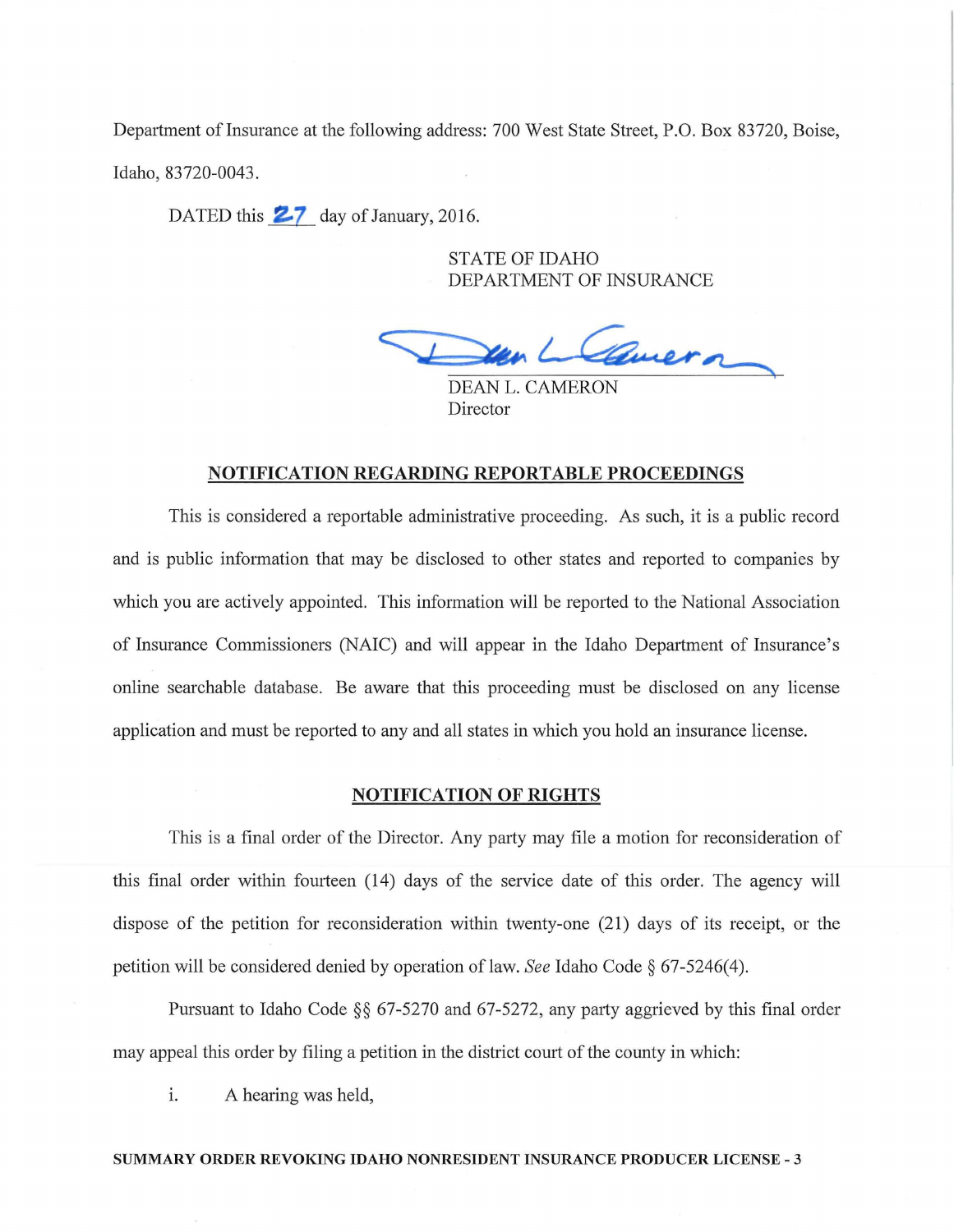Department of Insurance at the following address: 700 West State Street, P.O. Box 83720, Boise, Idaho, 83720-0043.

DATED this  $27$  day of January, 2016.

STATE OF IDAHO DEPARTMENT OF INSURANCE

Lavera

**DEAN L. CAMERON** Director

## NOTIFICATION REGARDING REPORTABLE PROCEEDINGS

This is considered a reportable administrative proceeding. As such, it is a public record and is public information that may be disclosed to other states and reported to companies by which you are actively appointed. This information will be reported to the National Association of Insurance Commissioners (NAIC) and will appear in the Idaho Department of Insurance's online searchable database. Be aware that this proceeding must be disclosed on any license application and must be reported to any and all states in which you hold an insurance license.

#### NOTIFICATION OF RIGHTS

This is a final order of the Director. Any party may file a motion for reconsideration of this final order within fourteen (14) days of the service date of this order. The agency will dispose of the petition for reconsideration within twenty-one (21) days of its receipt, or the petition will be considered denied by operation of law. *See* Idaho Code § 67-5246(4).

Pursuant to Idaho Code  $\S$ § 67-5270 and 67-5272, any party aggrieved by this final order may appeal this order by filing a petition in the district court of the county in which:

i. A hearing was held,

#### SUMMARY ORDER REVOKING IDAHO NONRESIDENT INSURANCE PRODUCER LICENSE - 3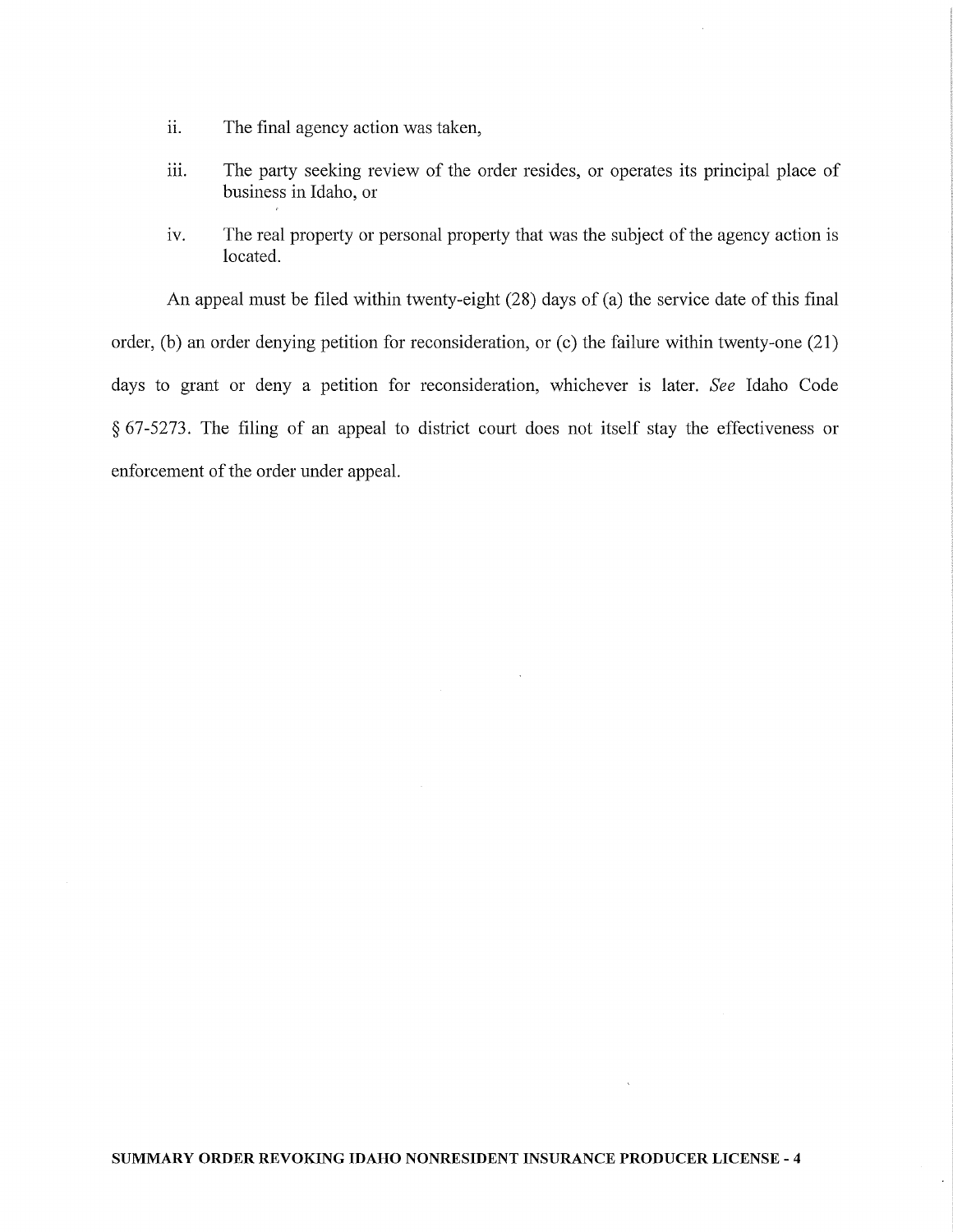- ii. The final agency action was taken,
- iii. The party seeking review of the order resides, or operates its principal place of business in Idaho, or
- iv. The real property or personal property that was the subject of the agency action is located.

An appeal must be filed within twenty-eight (28) days of (a) the service date of this final order, (b) an order denying petition for reconsideration, or (c) the failure within twenty-one (21) days to grant or deny a petition for reconsideration, whichever is later. *See* Idaho Code § 67-5273. The filing of an appeal to district court does not itself stay the effectiveness or enforcement of the order under appeal.